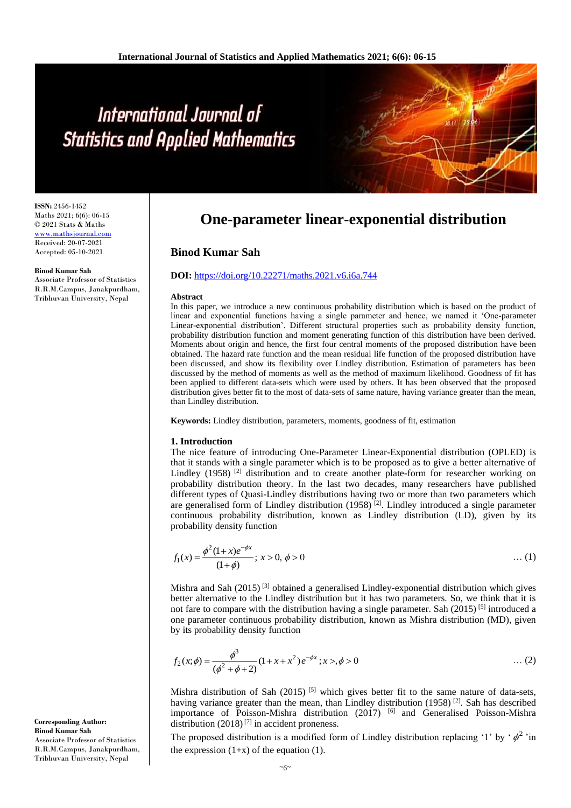# International Journal of **Statistics and Applied Mathematics**

**ISSN:** 2456-1452 Maths 2021; 6(6): 06-15 © 2021 Stats & Maths <www.mathsjournal.com> Received: 20-07-2021 Accepted: 05-10-2021

#### **Binod Kumar Sah**

Associate Professor of Statistics R.R.M.Campus, Janakpurdham, Tribhuvan University, Nepal

## **One-parameter linear-exponential distribution**

## **Binod Kumar Sah**

## **DOI:** <https://doi.org/10.22271/maths.2021.v6.i6a.744>

### **Abstract**

In this paper, we introduce a new continuous probability distribution which is based on the product of linear and exponential functions having a single parameter and hence, we named it 'One-parameter Linear-exponential distribution'. Different structural properties such as probability density function, probability distribution function and moment generating function of this distribution have been derived. Moments about origin and hence, the first four central moments of the proposed distribution have been obtained. The hazard rate function and the mean residual life function of the proposed distribution have been discussed, and show its flexibility over Lindley distribution. Estimation of parameters has been discussed by the method of moments as well as the method of maximum likelihood. Goodness of fit has been applied to different data-sets which were used by others. It has been observed that the proposed distribution gives better fit to the most of data-sets of same nature, having variance greater than the mean, than Lindley distribution.

**Keywords:** Lindley distribution, parameters, moments, goodness of fit, estimation

### **1. Introduction**

The nice feature of introducing One-Parameter Linear-Exponential distribution (OPLED) is that it stands with a single parameter which is to be proposed as to give a better alternative of Lindley (1958)<sup>[2]</sup> distribution and to create another plate-form for researcher working on probability distribution theory. In the last two decades, many researchers have published different types of Quasi-Lindley distributions having two or more than two parameters which are generalised form of Lindley distribution  $(1958)^{[2]}$ . Lindley introduced a single parameter continuous probability distribution, known as Lindley distribution (LD), given by its probability density function

$$
f_1(x) = \frac{\phi^2 (1+x)e^{-\phi x}}{(1+\phi)}; \ x > 0, \ \phi > 0 \tag{1}
$$

Mishra and Sah (2015) [3] obtained a generalised Lindley-exponential distribution which gives better alternative to the Lindley distribution but it has two parameters. So, we think that it is not fare to compare with the distribution having a single parameter. Sah  $(2015)$ <sup>[5]</sup> introduced a one parameter continuous probability distribution, known as Mishra distribution (MD), given by its probability density function

$$
f_2(x; \phi) = \frac{\phi^3}{(\phi^2 + \phi + 2)} (1 + x + x^2) e^{-\phi x}; x >, \phi > 0 \tag{2}
$$

Mishra distribution of Sah (2015) <sup>[5]</sup> which gives better fit to the same nature of data-sets, having variance greater than the mean, than Lindley distribution (1958) <sup>[2]</sup>. Sah has described importance of Poisson-Mishra distribution (2017) [6] and Generalised Poisson-Mishra distribution  $(2018)^{7}$  in accident proneness.

The proposed distribution is a modified form of Lindley distribution replacing '1' by ' $\phi^2$ 'in the expression  $(1+x)$  of the equation (1).

**Corresponding Author: Binod Kumar Sah** Associate Professor of Statistics R.R.M.Campus, Janakpurdham, Tribhuvan University, Nepal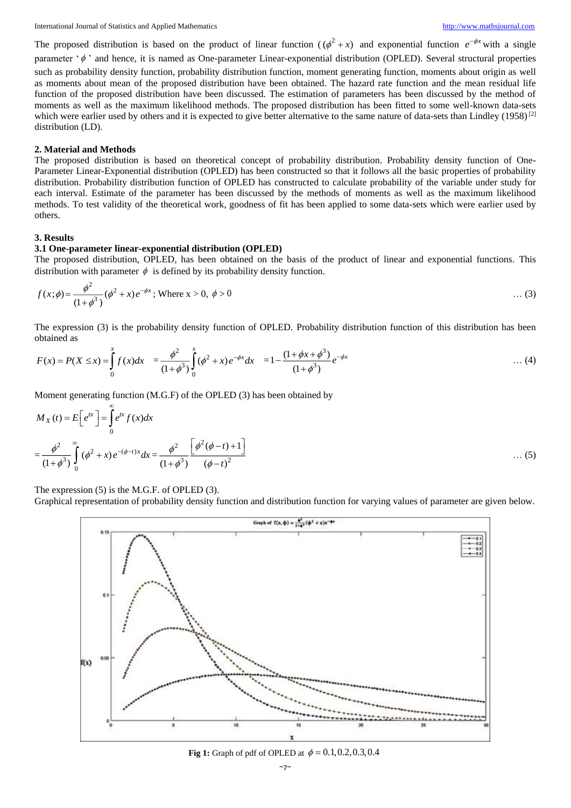The proposed distribution is based on the product of linear function  $(\phi^2 + x)$  and exponential function  $e^{-\phi x}$  with a single

parameter  $\phi'$  and hence, it is named as One-parameter Linear-exponential distribution (OPLED). Several structural properties such as probability density function, probability distribution function, moment generating function, moments about origin as well as moments about mean of the proposed distribution have been obtained. The hazard rate function and the mean residual life function of the proposed distribution have been discussed. The estimation of parameters has been discussed by the method of moments as well as the maximum likelihood methods. The proposed distribution has been fitted to some well-known data-sets which were earlier used by others and it is expected to give better alternative to the same nature of data-sets than Lindley  $(1958)^{21}$ distribution (LD).

## **2. Material and Methods**

The proposed distribution is based on theoretical concept of probability distribution. Probability density function of One-Parameter Linear-Exponential distribution (OPLED) has been constructed so that it follows all the basic properties of probability distribution. Probability distribution function of OPLED has constructed to calculate probability of the variable under study for each interval. Estimate of the parameter has been discussed by the methods of moments as well as the maximum likelihood methods. To test validity of the theoretical work, goodness of fit has been applied to some data-sets which were earlier used by others.

## **3. Results**

## **3.1 One-parameter linear-exponential distribution (OPLED)**

The proposed distribution, OPLED, has been obtained on the basis of the product of linear and exponential functions. This distribution with parameter  $\phi$  is defined by its probability density function.

$$
f(x; \phi) = \frac{\phi^2}{(1 + \phi^3)} (\phi^2 + x) e^{-\phi x}; \text{ Where } x > 0, \ \phi > 0 \tag{3}
$$

The expression (3) is the probability density function of OPLED. Probability distribution function of this distribution has been obtained as

$$
F(x) = P(X \le x) = \int_{0}^{x} f(x)dx = \frac{\phi^2}{(1+\phi^3)} \int_{0}^{x} (\phi^2 + x)e^{-\phi x}dx = 1 - \frac{(1+\phi x + \phi^3)}{(1+\phi^3)}e^{-\phi x} \quad \dots (4)
$$

Moment generating function (M.G.F) of the OPLED (3) has been obtained by

$$
M_X(t) = E\left[e^{tx}\right] = \int_0^\infty e^{tx} f(x) dx
$$
  
=  $\frac{\phi^2}{(1+\phi^3)} \int_0^\infty (\phi^2 + x) e^{-(\phi-t)x} dx = \frac{\phi^2}{(1+\phi^3)} \frac{\left[\phi^2(\phi-t) + 1\right]}{(\phi-t)^2}$  ... (5)

The expression (5) is the M.G.F. of OPLED (3).

Graphical representation of probability density function and distribution function for varying values of parameter are given below.



**Fig 1:** Graph of pdf of OPLED at  $\phi = 0.1, 0.2, 0.3, 0.4$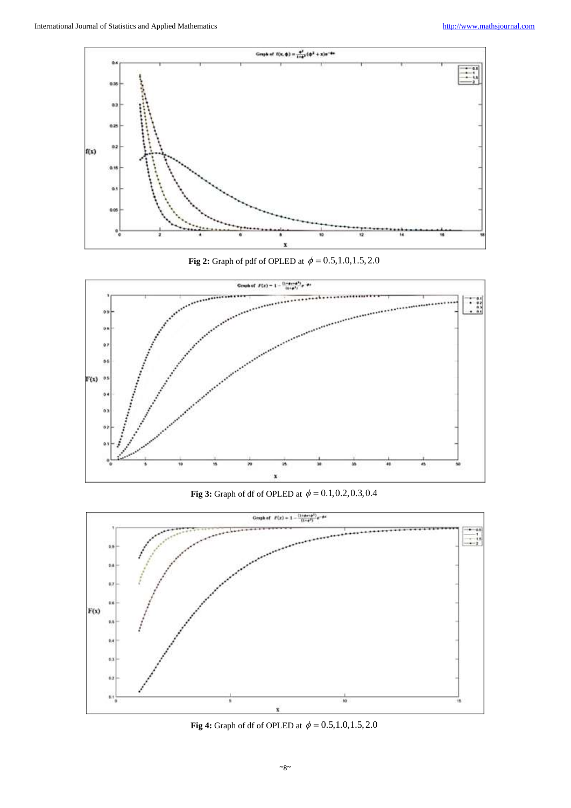

**Fig 2:** Graph of pdf of OPLED at  $\phi = 0.5, 1.0, 1.5, 2.0$ 



**Fig 3:** Graph of df of OPLED at  $\phi = 0.1, 0.2, 0.3, 0.4$ 



**Fig 4:** Graph of df of OPLED at  $\phi = 0.5, 1.0, 1.5, 2.0$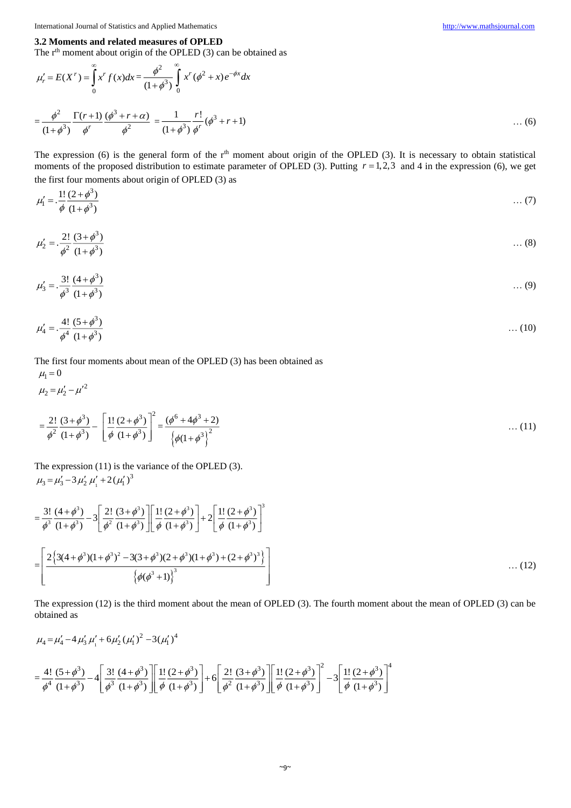## **3.2 Moments and related measures of OPLED**

The  $r<sup>th</sup>$  moment about origin of the OPLED (3) can be obtained as

$$
\mu'_{r} = E(X^{r}) = \int_{0}^{\infty} x^{r} f(x) dx = \frac{\phi^{2}}{(1 + \phi^{3})} \int_{0}^{\infty} x^{r} (\phi^{2} + x) e^{-\phi x} dx
$$

$$
= \frac{\phi^{2}}{(1 + \phi^{3})} \frac{\Gamma(r+1)}{\phi^{r}} \frac{(\phi^{3} + r + \alpha)}{\phi^{2}} = \frac{1}{(1 + \phi^{3})} \frac{r!}{\phi^{r}} (\phi^{3} + r + 1) \quad \dots (6)
$$

The expression (6) is the general form of the  $r<sup>th</sup>$  moment about origin of the OPLED (3). It is necessary to obtain statistical moments of the proposed distribution to estimate parameter of OPLED (3). Putting  $r = 1,2,3$  and 4 in the expression (6), we get the first four moments about origin of OPLED (3) as

$$
\mu_1' = \frac{1!}{\phi} \frac{(2+\phi^3)}{(1+\phi^3)} \qquad \qquad \dots (7)
$$

$$
\mu_2' = \frac{2!}{\phi^2} \frac{(3+\phi^3)}{(1+\phi^3)} \qquad \qquad \dots (8)
$$

$$
\mu_3' = \frac{3!}{\phi^3} \frac{(4+\phi^3)}{(1+\phi^3)} \qquad \qquad \dots (9)
$$

$$
\mu_4' = \frac{4!}{\phi^4} \frac{(5+\phi^3)}{(1+\phi^3)} \qquad \qquad \dots (10)
$$

The first four moments about mean of the OPLED (3) has been obtained as

$$
\mu_1 = 0
$$
\n
$$
\mu_2 = \mu'_2 - \mu'^2
$$
\n
$$
= \frac{2!}{\phi^2} \frac{(3+\phi^3)}{(1+\phi^3)} - \left[ \frac{1!}{\phi} \frac{(2+\phi^3)}{(1+\phi^3)} \right]^2 = \frac{(\phi^6 + 4\phi^3 + 2)}{\left\{ \phi(1+\phi^3) \right\}^2}
$$
\n...(11)

The expression (11) is the variance of the OPLED (3). 1  $\mu_3 = \mu'_3 - 3 \mu'_2 \mu'_1 + 2(\mu'_1)^3$ 

$$
= \frac{3!}{\phi^3} \frac{(4+\phi^3)}{(1+\phi^3)} - 3 \left[ \frac{2!}{\phi^2} \frac{(3+\phi^3)}{(1+\phi^3)} \right] \left[ \frac{1!}{\phi} \frac{(2+\phi^3)}{(1+\phi^3)} \right] + 2 \left[ \frac{1!}{\phi} \frac{(2+\phi^3)}{(1+\phi^3)} \right]^3
$$
  

$$
= \left[ \frac{2 \left\{ 3(4+\phi^3)(1+\phi^3)^2 - 3(3+\phi^3)(2+\phi^3)(1+\phi^3) + (2+\phi^3)^3 \right\}}{\left\{ \phi(\phi^3+1) \right\}^3} \right] \dots (12)
$$

The expression (12) is the third moment about the mean of OPLED (3). The fourth moment about the mean of OPLED (3) can be obtained as

$$
\mu_4 = \mu'_4 - 4 \mu'_3 \mu'_1 + 6 \mu'_2 (\mu'_1)^2 - 3(\mu'_1)^4
$$
\n
$$
= \frac{4!}{\phi^4} \frac{(5+\phi^3)}{(1+\phi^3)} - 4 \left[ \frac{3!}{\phi^3} \frac{(4+\phi^3)}{(1+\phi^3)} \right] \left[ \frac{1!}{\phi} \frac{(2+\phi^3)}{(1+\phi^3)} \right] + 6 \left[ \frac{2!}{\phi^2} \frac{(3+\phi^3)}{(1+\phi^3)} \right] \left[ \frac{1!}{\phi} \frac{(2+\phi^3)}{(1+\phi^3)} \right]^2 - 3 \left[ \frac{1!}{\phi} \frac{(2+\phi^3)}{(1+\phi^3)} \right]^4
$$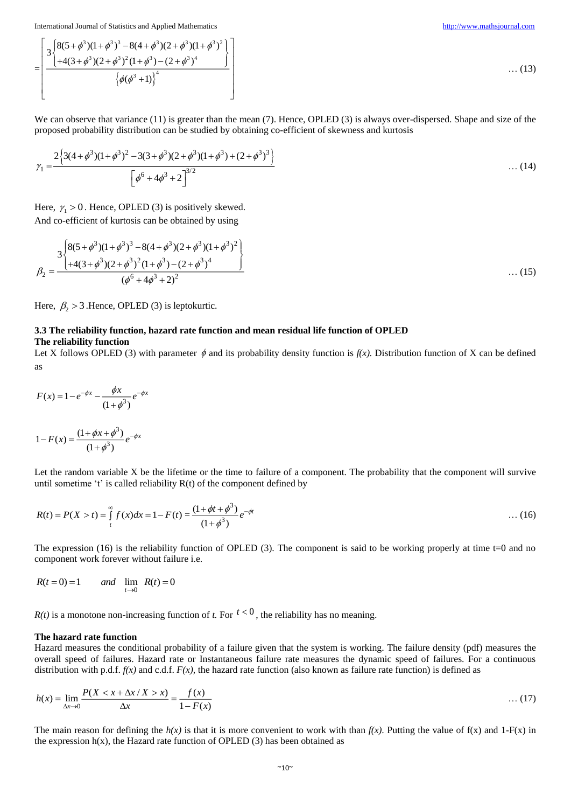$$
=\left[\frac{3\left\{8(5+\phi^3)(1+\phi^3)^3-8(4+\phi^3)(2+\phi^3)(1+\phi^3)^2\right\}}{4(4(3+\phi^3)(2+\phi^3)^2(1+\phi^3)-(2+\phi^3)^4)}\right]\qquad(13)
$$
\n(13)

We can observe that variance (11) is greater than the mean (7). Hence, OPLED (3) is always over-dispersed. Shape and size of the proposed probability distribution can be studied by obtaining co-efficient of skewness and kurtosis

$$
\gamma_1 = \frac{2\left\{3(4+\phi^3)(1+\phi^3)^2 - 3(3+\phi^3)(2+\phi^3)(1+\phi^3) + (2+\phi^3)^3\right\}}{\left[\phi^6 + 4\phi^3 + 2\right]^{3/2}}
$$
 ... (14)

Here,  $\gamma_1 > 0$ . Hence, OPLED (3) is positively skewed. And co-efficient of kurtosis can be obtained by using

$$
\beta_2 = \frac{3 \left\{ 8(5+\phi^3)(1+\phi^3)^3 - 8(4+\phi^3)(2+\phi^3)(1+\phi^3)^2 \right\}}{(\phi^6 + 4\phi^3 + 2)^2}
$$
\n(15)

Here,  $\beta_2 > 3$ . Hence, OPLED (3) is leptokurtic.

## **3.3 The reliability function, hazard rate function and mean residual life function of OPLED**

## **The reliability function**

Let X follows OPLED (3) with parameter  $\phi$  and its probability density function is  $f(x)$ . Distribution function of X can be defined as

$$
F(x) = 1 - e^{-\phi x} - \frac{\phi x}{(1 + \phi^3)} e^{-\phi x}
$$

$$
1 - F(x) = \frac{(1 + \phi x + \phi^3)}{(1 + \phi^3)} e^{-\phi x}
$$

Let the random variable X be the lifetime or the time to failure of a component. The probability that the component will survive until sometime 't' is called reliability  $R(t)$  of the component defined by

$$
R(t) = P(X > t) = \int_{t}^{\infty} f(x)dx = 1 - F(t) = \frac{(1 + \phi t + \phi^{3})}{(1 + \phi^{3})}e^{-\phi t}
$$
 ... (16)

The expression (16) is the reliability function of OPLED (3). The component is said to be working properly at time  $t=0$  and no component work forever without failure i.e.

$$
R(t=0) = 1 \qquad \text{and} \quad \lim_{t \to 0} \quad R(t) = 0
$$

 $R(t)$  is a monotone non-increasing function of *t*. For  $t < 0$ , the reliability has no meaning.

## **The hazard rate function**

Hazard measures the conditional probability of a failure given that the system is working. The failure density (pdf) measures the overall speed of failures. Hazard rate or Instantaneous failure rate measures the dynamic speed of failures. For a continuous distribution with p.d.f.  $f(x)$  and c.d.f.  $F(x)$ , the hazard rate function (also known as failure rate function) is defined as

$$
h(x) = \lim_{\Delta x \to 0} \frac{P(X < x + \Delta x / X > x)}{\Delta x} = \frac{f(x)}{1 - F(x)} \tag{17}
$$

The main reason for defining the  $h(x)$  is that it is more convenient to work with than  $f(x)$ . Putting the value of  $f(x)$  and  $1-F(x)$  in the expression  $h(x)$ , the Hazard rate function of OPLED (3) has been obtained as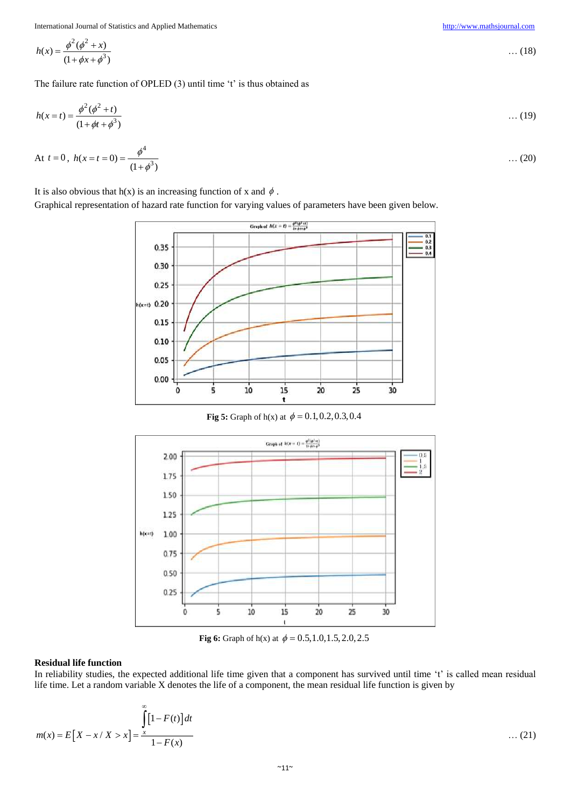$$
h(x) = \frac{\phi^2(\phi^2 + x)}{(1 + \phi x + \phi^3)}
$$
 ... (18)

The failure rate function of OPLED (3) until time 't' is thus obtained as

$$
h(x = t) = \frac{\phi^2(\phi^2 + t)}{(1 + \phi t + \phi^3)} \tag{19}
$$

At 
$$
t = 0
$$
,  $h(x = t = 0) = \frac{\phi^4}{(1 + \phi^3)}$  ... (20)

It is also obvious that h(x) is an increasing function of x and  $\phi$ .

Graphical representation of hazard rate function for varying values of parameters have been given below.



**Fig 5:** Graph of  $h(x)$  at  $\phi = 0.1, 0.2, 0.3, 0.4$ 



**Fig 6:** Graph of h(x) at  $\phi = 0.5, 1.0, 1.5, 2.0, 2.5$ 

## **Residual life function**

In reliability studies, the expected additional life time given that a component has survived until time 't' is called mean residual life time. Let a random variable X denotes the life of a component, the mean residual life function is given by

$$
m(x) = E[X - x / X > x] = \frac{\int_{0}^{\infty} [1 - F(t)] dt}{1 - F(x)}
$$
 ... (21)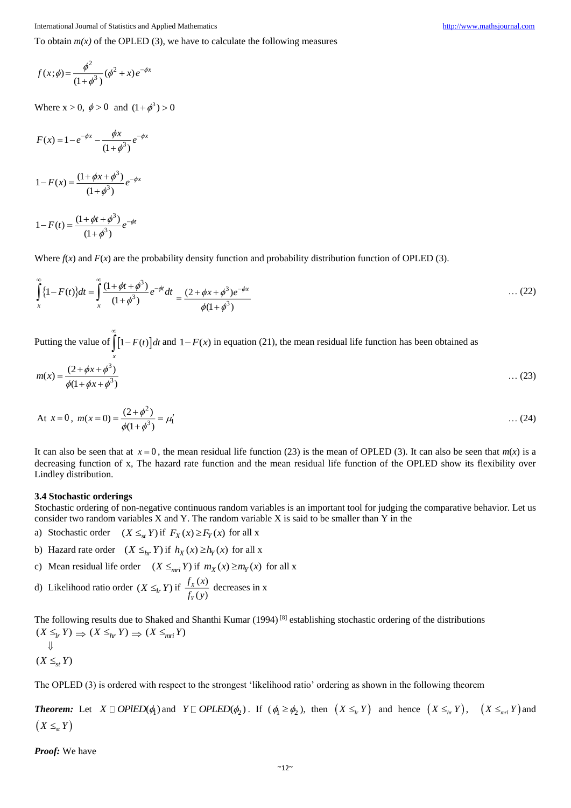To obtain  $m(x)$  of the OPLED (3), we have to calculate the following measures

$$
f(x; \phi) = \frac{\phi^2}{(1 + \phi^3)} (\phi^2 + x) e^{-\phi x}
$$

Where  $x > 0$ ,  $\phi > 0$  and  $(1 + \phi^3) > 0$ 

$$
F(x) = 1 - e^{-\phi x} - \frac{\phi x}{(1 + \phi^3)} e^{-\phi x}
$$

$$
1 - F(x) = \frac{(1 + \phi x + \phi^3)}{(1 + \phi^3)} e^{-\phi x}
$$

$$
1 - F(t) = \frac{(1 + \phi t + \phi^3)}{(1 + \phi^3)} e^{-\phi t}
$$

Where  $f(x)$  and  $F(x)$  are the probability density function and probability distribution function of OPLED (3).

$$
\int_{x}^{\infty} \{1 - F(t)\} dt = \int_{x}^{\infty} \frac{(1 + \phi t + \phi^{3})}{(1 + \phi^{3})} e^{-\phi t} dt = \frac{(2 + \phi x + \phi^{3})e^{-\phi x}}{\phi(1 + \phi^{3})}
$$
...(22)

Putting the value of  $\left[1 - F(t)\right]dt$ *x* ∞  $\int [1 - F(t)] dt$  and  $1 - F(x)$  in equation (21), the mean residual life function has been obtained as

$$
m(x) = \frac{(2 + \phi x + \phi^3)}{\phi(1 + \phi x + \phi^3)}
$$
...(23)

At 
$$
x = 0
$$
,  $m(x = 0) = \frac{(2 + \phi^2)}{\phi(1 + \phi^3)} = \mu'_1$  ... (24)

It can also be seen that at  $x = 0$ , the mean residual life function (23) is the mean of OPLED (3). It can also be seen that  $m(x)$  is a decreasing function of x, The hazard rate function and the mean residual life function of the OPLED show its flexibility over Lindley distribution.

## **3.4 Stochastic orderings**

Stochastic ordering of non-negative continuous random variables is an important tool for judging the comparative behavior. Let us consider two random variables X and Y. The random variable X is said to be smaller than Y in the

- a) Stochastic order  $(X \leq_{st} Y)$  if  $F_X(x) \geq F_Y(x)$  for all x
- b) Hazard rate order  $(X \leq_{hr} Y)$  if  $h_X(x) \geq h_Y(x)$  for all x
- c) Mean residual life order  $(X \leq_{mri} Y)$  if  $m_X(x) \geq m_Y(x)$  for all x
- d) Likelihood ratio order  $(X \leq_h Y)$  if  $\frac{f_X(x)}{f_X(x)}$  $(y)$ *X Y*  $f_{x}$   $(x$  $\frac{f(x)}{f_y(y)}$  decreases in x

The following results due to Shaked and Shanthi Kumar (1994) [8] establishing stochastic ordering of the distributions  $(X \leq_{lr} Y) \Rightarrow (X \leq_{hr} Y) \Rightarrow (X \leq_{mr} Y)$  $\downarrow$ 

$$
(X \leq_{st} Y)
$$

The OPLED (3) is ordered with respect to the strongest 'likelihood ratio' ordering as shown in the following theorem

**Theorem:** Let  $X \square$  OPIED( $\phi_1$ ) and  $Y \square$  OPLED( $\phi_2$ ). If ( $\phi_1 \ge \phi_2$ ), then  $(X \le_{_{hr}} Y)$  and hence  $(X \le_{_{hr}} Y)$ ,  $(X \le_{_{nrl}} Y)$  and  $(X \leq_{st} Y)$ 

*Proof:* We have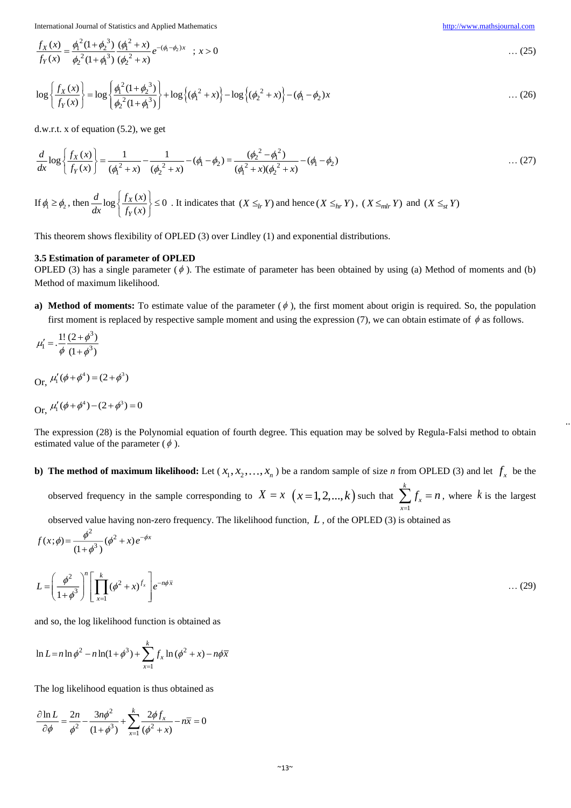$\ddots$ 

$$
\frac{f_X(x)}{f_Y(x)} = \frac{\phi_1^2 (1 + \phi_2^3)}{\phi_2^2 (1 + \phi_1^3)} \frac{(\phi_1^2 + x)}{(\phi_2^2 + x)} e^{-(\phi_1 - \phi_2)x} \quad ; \ x > 0 \tag{25}
$$

$$
\log \left\{ \frac{f_X(x)}{f_Y(x)} \right\} = \log \left\{ \frac{\phi_1^2 (1 + \phi_2^3)}{\phi_2^2 (1 + \phi_1^3)} \right\} + \log \left\{ (\phi_1^2 + x) \right\} - \log \left\{ (\phi_2^2 + x) \right\} - (\phi_1 - \phi_2) x \tag{26}
$$

d.w.r.t. x of equation (5.2), we get

$$
\frac{d}{dx}\log\left\{\frac{f_X(x)}{f_Y(x)}\right\} = \frac{1}{(\phi_1^2 + x)} - \frac{1}{(\phi_2^2 + x)} - (\phi_1 - \phi_2) = \frac{(\phi_2^2 - \phi_1^2)}{(\phi_1^2 + x)(\phi_2^2 + x)} - (\phi_1 - \phi_2) \tag{27}
$$

If  $\phi_1 \ge \phi_2$ , then  $\frac{d}{dx} \log \left| \frac{f_X(x)}{f_Y(x)} \right| \le 0$ *X Y*  $d_{1}$   $f_X(x)$  $rac{d}{dx} \log \left\{ \frac{f_X(x)}{f_Y(x)} \right\} \le$  $[f_Y(x)]$ . It indicates that  $(X \leq_{lr} Y)$  and hence  $(X \leq_{lr} Y)$ ,  $(X \leq_{mlr} Y)$  and  $(X \leq_{st} Y)$ 

This theorem shows flexibility of OPLED (3) over Lindley (1) and exponential distributions.

## **3.5 Estimation of parameter of OPLED**

OPLED (3) has a single parameter  $(\phi)$ . The estimate of parameter has been obtained by using (a) Method of moments and (b) Method of maximum likelihood.

**a) Method of moments:** To estimate value of the parameter  $(\phi)$ , the first moment about origin is required. So, the population first moment is replaced by respective sample moment and using the expression (7), we can obtain estimate of  $\phi$  as follows.

$$
\mu_1' = \frac{1!}{\phi} \frac{(2+\phi^3)}{(1+\phi^3)}
$$

Or,  $\mu'_1(\phi + \phi^4) = (2 + \phi^3)$ 

$$
Or, \mu'_{1}(\phi + \phi^{4}) - (2 + \phi^{3}) = 0
$$

 $\begin{array}{c} 3 \\ \end{array}$ 

 $\phi$ 

*x*

The expression (28) is the Polynomial equation of fourth degree. This equation may be solved by Regula-Falsi method to obtain estimated value of the parameter ( $\phi$ ).

**b)** The method of maximum likelihood: Let  $(x_1, x_2, ..., x_n)$  be a random sample of size *n* from OPLED (3) and let  $f_x$  be the *k*

observed frequency in the sample corresponding to  $X = x \ (x = 1, 2, ..., k)$  such that 1 *x x*  $\sum_{x=1}$   $f_x = n$ , where *k* is the largest

observed value having non-zero frequency. The likelihood function, *L* , of the OPLED (3) is obtained as

$$
f(x; \phi) = \frac{\phi^2}{(1+\phi^3)} (\phi^2 + x) e^{-\phi x}
$$
  

$$
L = \left(\frac{\phi^2}{1+\phi^3}\right)^n \left[\prod_{x=1}^k (\phi^2 + x)^{f_x}\right] e^{-n\phi \overline{x}}
$$
...(29)

and so, the log likelihood function is obtained as

$$
\ln L = n \ln \phi^{2} - n \ln(1 + \phi^{3}) + \sum_{x=1}^{k} f_{x} \ln (\phi^{2} + x) - n \phi \overline{x}
$$

The log likelihood equation is thus obtained as

$$
\frac{\partial \ln L}{\partial \phi} = \frac{2n}{\phi^2} - \frac{3n\phi^2}{(1+\phi^3)} + \sum_{x=1}^k \frac{2\phi f_x}{(\phi^2 + x)} - n\overline{x} = 0
$$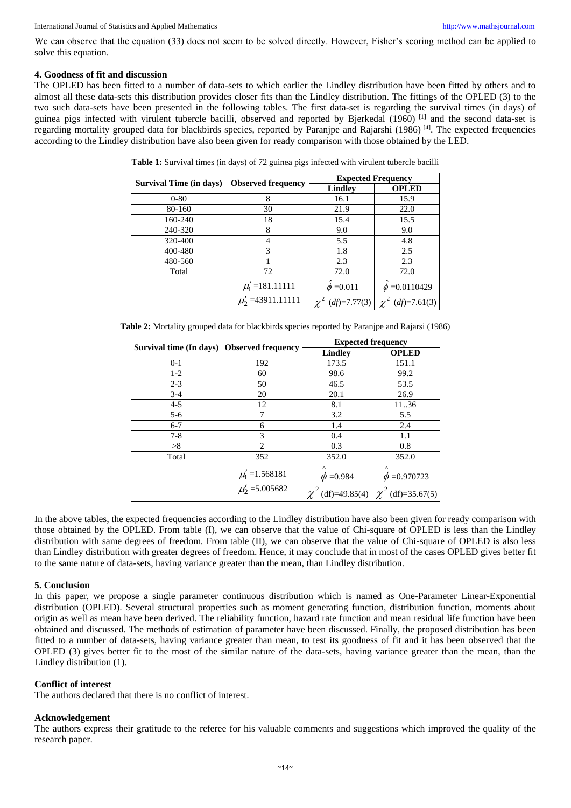We can observe that the equation (33) does not seem to be solved directly. However, Fisher's scoring method can be applied to solve this equation.

## **4. Goodness of fit and discussion**

The OPLED has been fitted to a number of data-sets to which earlier the Lindley distribution have been fitted by others and to almost all these data-sets this distribution provides closer fits than the Lindley distribution. The fittings of the OPLED (3) to the two such data-sets have been presented in the following tables. The first data-set is regarding the survival times (in days) of guinea pigs infected with virulent tubercle bacilli, observed and reported by Bjerkedal (1960) [1] and the second data-set is regarding mortality grouped data for blackbirds species, reported by Paranjpe and Rajarshi (1986) [4]. The expected frequencies according to the Lindley distribution have also been given for ready comparison with those obtained by the LED.

| <b>Survival Time (in days)</b> | <b>Observed frequency</b>                    | <b>Expected Frequency</b> |                    |  |
|--------------------------------|----------------------------------------------|---------------------------|--------------------|--|
|                                |                                              | <b>Lindley</b>            | <b>OPLED</b>       |  |
| $0 - 80$                       | 8                                            | 16.1                      | 15.9               |  |
| 80-160                         | 30                                           | 21.9                      | 22.0               |  |
| 160-240                        | 18                                           | 15.4                      | 15.5               |  |
| 240-320                        | 8                                            | 9.0                       | 9.0                |  |
| 320-400                        |                                              | 5.5                       | 4.8                |  |
| 400-480                        | 3                                            | 1.8                       | 2.5                |  |
| 480-560                        |                                              | 2.3                       | 2.3                |  |
| Total                          | 72                                           | 72.0                      | 72.0               |  |
|                                | $\mu'_1$ =181.11111<br>$\mu'_2$ =43911.11111 | $\phi = 0.011$            | $\phi = 0.0110429$ |  |
|                                |                                              | $(df)=7.77(3)$            | $(df)=7.61(3)$     |  |

**Table 1:** Survival times (in days) of 72 guinea pigs infected with virulent tubercle bacilli

| Table 2: Mortality grouped data for blackbirds species reported by Paranjpe and Rajarsi (1986) |  |  |
|------------------------------------------------------------------------------------------------|--|--|
|                                                                                                |  |  |

| Survival time (In days)   Observed frequency |                                          | <b>Expected frequency</b>  |                                               |  |
|----------------------------------------------|------------------------------------------|----------------------------|-----------------------------------------------|--|
|                                              |                                          | <b>Lindley</b>             | <b>OPLED</b>                                  |  |
| $0 - 1$                                      | 192                                      | 173.5                      | 151.1                                         |  |
| $1-2$                                        | 60                                       | 98.6                       | 99.2                                          |  |
| $2 - 3$                                      | 50                                       | 46.5                       | 53.5                                          |  |
| $3-4$                                        | 20                                       | 20.1                       | 26.9                                          |  |
| $4 - 5$                                      | 12                                       | 8.1                        | 11.36                                         |  |
| $5-6$                                        |                                          | 3.2                        | 5.5                                           |  |
| $6 - 7$                                      | 6                                        | 1.4                        | 2.4                                           |  |
| $7 - 8$                                      | 3                                        | 0.4                        | 1.1                                           |  |
| >8                                           | $\overline{c}$                           | 0.3                        | 0.8                                           |  |
| Total                                        | 352                                      | 352.0                      | 352.0                                         |  |
|                                              | $\mu'_1$ =1.568181<br>$\mu'_2$ =5.005682 | $\wedge$<br>$\phi = 0.984$ | $\wedge$<br>$\phi = 0.970723$                 |  |
|                                              |                                          |                            | $\chi^2$ (df)=49.85(4) $\chi^2$ (df)=35.67(5) |  |

In the above tables, the expected frequencies according to the Lindley distribution have also been given for ready comparison with those obtained by the OPLED. From table (I), we can observe that the value of Chi-square of OPLED is less than the Lindley distribution with same degrees of freedom. From table (II), we can observe that the value of Chi-square of OPLED is also less than Lindley distribution with greater degrees of freedom. Hence, it may conclude that in most of the cases OPLED gives better fit to the same nature of data-sets, having variance greater than the mean, than Lindley distribution.

## **5. Conclusion**

In this paper, we propose a single parameter continuous distribution which is named as One-Parameter Linear-Exponential distribution (OPLED). Several structural properties such as moment generating function, distribution function, moments about origin as well as mean have been derived. The reliability function, hazard rate function and mean residual life function have been obtained and discussed. The methods of estimation of parameter have been discussed. Finally, the proposed distribution has been fitted to a number of data-sets, having variance greater than mean, to test its goodness of fit and it has been observed that the OPLED (3) gives better fit to the most of the similar nature of the data-sets, having variance greater than the mean, than the Lindley distribution (1).

## **Conflict of interest**

The authors declared that there is no conflict of interest.

## **Acknowledgement**

The authors express their gratitude to the referee for his valuable comments and suggestions which improved the quality of the research paper.